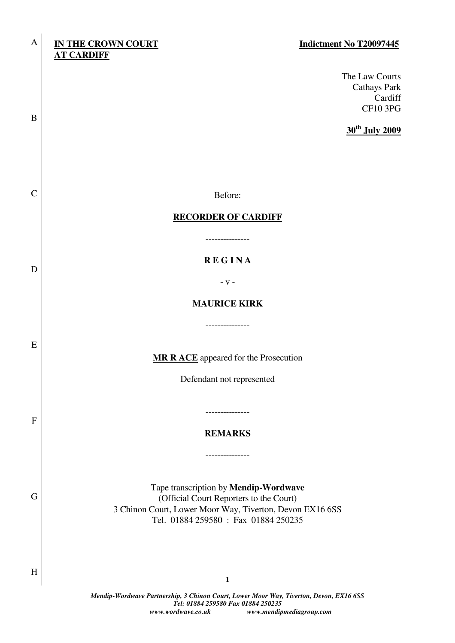#### A **IN THE CROWN COURT Indictment No T20097445 AT CARDIFF**

B

C

D

E

F

G

H

The Law Courts Cathays Park Cardiff CF10 3PG

**30th July 2009**

Before:

#### **RECORDER OF CARDIFF**

---------------

# **R E G I N A**

- v -

## **MAURICE KIRK**

**MR R ACE** appeared for the Prosecution

Defendant not represented

**REMARKS** 

---------------

---------------

Tape transcription by **Mendip-Wordwave** (Official Court Reporters to the Court) 3 Chinon Court, Lower Moor Way, Tiverton, Devon EX16 6SS Tel. 01884 259580 : Fax 01884 250235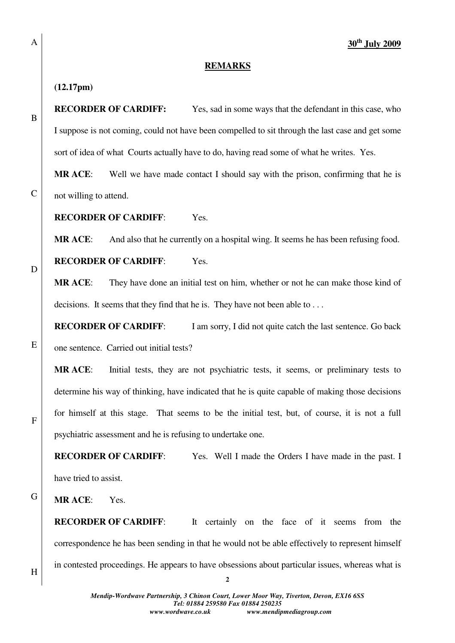#### **REMARKS**

#### **(12.17pm)**

A

B

C

D

E

**RECORDER OF CARDIFF:** Yes, sad in some ways that the defendant in this case, who I suppose is not coming, could not have been compelled to sit through the last case and get some sort of idea of what Courts actually have to do, having read some of what he writes. Yes.

**MR ACE**: Well we have made contact I should say with the prison, confirming that he is not willing to attend.

**RECORDER OF CARDIFF**: Yes.

**MR ACE:** And also that he currently on a hospital wing. It seems he has been refusing food.

**RECORDER OF CARDIFF**: Yes.

**MR ACE**: They have done an initial test on him, whether or not he can make those kind of decisions. It seems that they find that he is. They have not been able to ...

**RECORDER OF CARDIFF:** I am sorry, I did not quite catch the last sentence. Go back one sentence. Carried out initial tests?

**MR ACE**: Initial tests, they are not psychiatric tests, it seems, or preliminary tests to determine his way of thinking, have indicated that he is quite capable of making those decisions for himself at this stage. That seems to be the initial test, but, of course, it is not a full psychiatric assessment and he is refusing to undertake one.

**RECORDER OF CARDIFF:** Yes. Well I made the Orders I have made in the past. I have tried to assist.

G **MR ACE**: Yes.

> **RECORDER OF CARDIFF:** It certainly on the face of it seems from the correspondence he has been sending in that he would not be able effectively to represent himself in contested proceedings. He appears to have obsessions about particular issues, whereas what is

F

**2**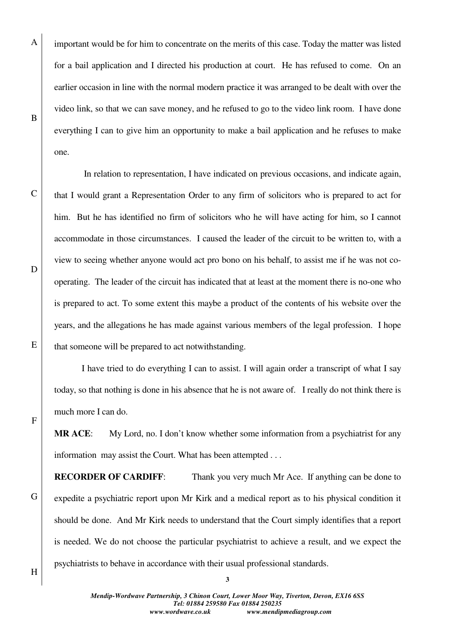important would be for him to concentrate on the merits of this case. Today the matter was listed for a bail application and I directed his production at court. He has refused to come. On an earlier occasion in line with the normal modern practice it was arranged to be dealt with over the video link, so that we can save money, and he refused to go to the video link room. I have done everything I can to give him an opportunity to make a bail application and he refuses to make one.

 In relation to representation, I have indicated on previous occasions, and indicate again, that I would grant a Representation Order to any firm of solicitors who is prepared to act for him. But he has identified no firm of solicitors who he will have acting for him, so I cannot accommodate in those circumstances. I caused the leader of the circuit to be written to, with a view to seeing whether anyone would act pro bono on his behalf, to assist me if he was not cooperating. The leader of the circuit has indicated that at least at the moment there is no-one who is prepared to act. To some extent this maybe a product of the contents of his website over the years, and the allegations he has made against various members of the legal profession. I hope that someone will be prepared to act notwithstanding.

E

F

A

B

C

D

I have tried to do everything I can to assist. I will again order a transcript of what I say today, so that nothing is done in his absence that he is not aware of. I really do not think there is much more I can do.

**MR ACE**: My Lord, no. I don't know whether some information from a psychiatrist for any information may assist the Court. What has been attempted . . .

**RECORDER OF CARDIFF:** Thank you very much Mr Ace. If anything can be done to expedite a psychiatric report upon Mr Kirk and a medical report as to his physical condition it should be done. And Mr Kirk needs to understand that the Court simply identifies that a report is needed. We do not choose the particular psychiatrist to achieve a result, and we expect the psychiatrists to behave in accordance with their usual professional standards.

H

G

**3**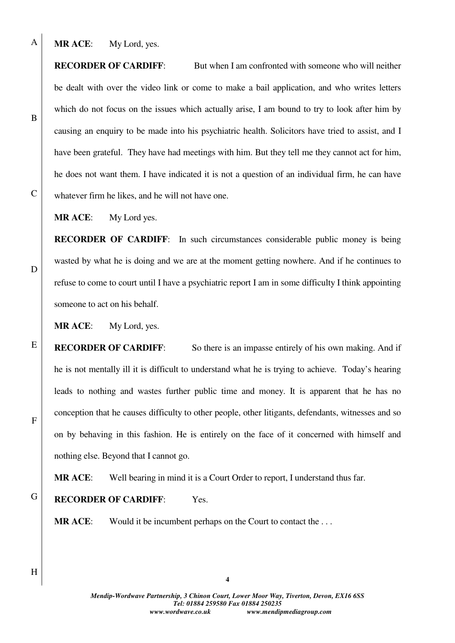**MR ACE**: My Lord, yes.

**RECORDER OF CARDIFF:** But when I am confronted with someone who will neither be dealt with over the video link or come to make a bail application, and who writes letters which do not focus on the issues which actually arise, I am bound to try to look after him by causing an enquiry to be made into his psychiatric health. Solicitors have tried to assist, and I have been grateful. They have had meetings with him. But they tell me they cannot act for him, he does not want them. I have indicated it is not a question of an individual firm, he can have whatever firm he likes, and he will not have one.

**MR ACE**: My Lord yes.

**RECORDER OF CARDIFF:** In such circumstances considerable public money is being wasted by what he is doing and we are at the moment getting nowhere. And if he continues to refuse to come to court until I have a psychiatric report I am in some difficulty I think appointing someone to act on his behalf.

**MR ACE**: My Lord, yes.

**RECORDER OF CARDIFF:** So there is an impasse entirely of his own making. And if he is not mentally ill it is difficult to understand what he is trying to achieve. Today's hearing leads to nothing and wastes further public time and money. It is apparent that he has no conception that he causes difficulty to other people, other litigants, defendants, witnesses and so on by behaving in this fashion. He is entirely on the face of it concerned with himself and nothing else. Beyond that I cannot go.

**MR ACE**: Well bearing in mind it is a Court Order to report, I understand thus far.

G

**RECORDER OF CARDIFF**: Yes.

**MR ACE:** Would it be incumbent perhaps on the Court to contact the ...

*Mendip-Wordwave Partnership, 3 Chinon Court, Lower Moor Way, Tiverton, Devon, EX16 6SS Tel: 01884 259580 Fax 01884 250235 www.wordwave.co.uk www.mendipmediagroup.com* 

**4**

A

B

C

D

E

F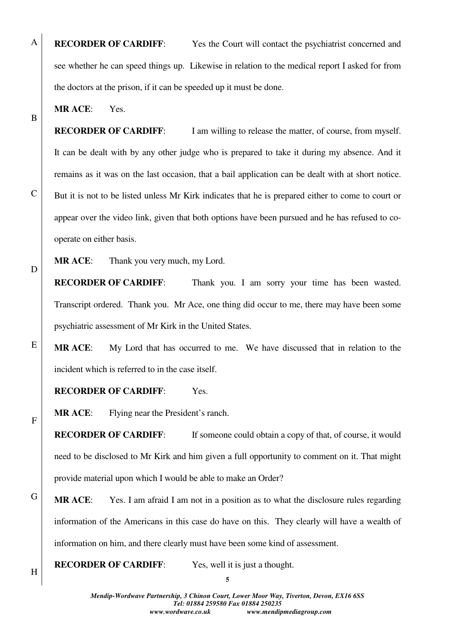**RECORDER OF CARDIFF:** Yes the Court will contact the psychiatrist concerned and see whether he can speed things up. Likewise in relation to the medical report I asked for from the doctors at the prison, if it can be speeded up it must be done.

**MR ACE**: Yes.

A

B

C

D

E

F

H

**RECORDER OF CARDIFF:** I am willing to release the matter, of course, from myself. It can be dealt with by any other judge who is prepared to take it during my absence. And it remains as it was on the last occasion, that a bail application can be dealt with at short notice. But it is not to be listed unless Mr Kirk indicates that he is prepared either to come to court or appear over the video link, given that both options have been pursued and he has refused to cooperate on either basis.

**MR ACE**: Thank you very much, my Lord.

**RECORDER OF CARDIFF:** Thank you. I am sorry your time has been wasted. Transcript ordered. Thank you. Mr Ace, one thing did occur to me, there may have been some psychiatric assessment of Mr Kirk in the United States.

**MR ACE**: My Lord that has occurred to me. We have discussed that in relation to the incident which is referred to in the case itself.

## **RECORDER OF CARDIFF**: Yes.

**MR ACE**: Flying near the President's ranch.

**RECORDER OF CARDIFF:** If someone could obtain a copy of that, of course, it would need to be disclosed to Mr Kirk and him given a full opportunity to comment on it. That might provide material upon which I would be able to make an Order?

G **MR ACE**: Yes. I am afraid I am not in a position as to what the disclosure rules regarding information of the Americans in this case do have on this. They clearly will have a wealth of information on him, and there clearly must have been some kind of assessment.

**RECORDER OF CARDIFF:** Yes, well it is just a thought.

**5**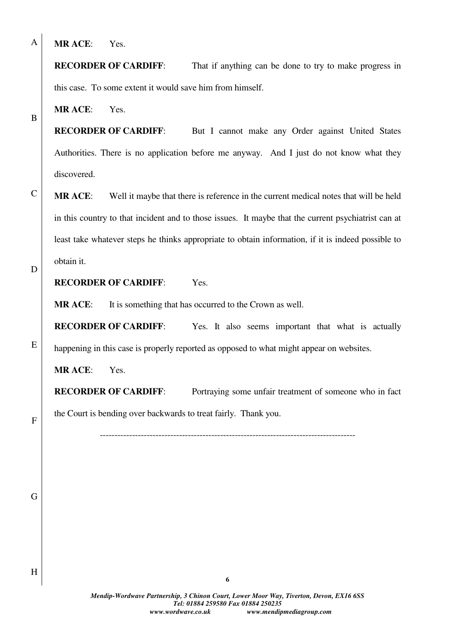**MR ACE**: Yes.

**RECORDER OF CARDIFF:** That if anything can be done to try to make progress in this case. To some extent it would save him from himself.

**MR ACE**: Yes.

**RECORDER OF CARDIFF:** But I cannot make any Order against United States Authorities. There is no application before me anyway. And I just do not know what they discovered.

**MR ACE**: Well it maybe that there is reference in the current medical notes that will be held in this country to that incident and to those issues. It maybe that the current psychiatrist can at least take whatever steps he thinks appropriate to obtain information, if it is indeed possible to obtain it.

D

E

A

B

C

## **RECORDER OF CARDIFF**: Yes.

**MR ACE:** It is something that has occurred to the Crown as well.

**RECORDER OF CARDIFF:** Yes. It also seems important that what is actually happening in this case is properly reported as opposed to what might appear on websites.

**MR ACE**: Yes.

**RECORDER OF CARDIFF:** Portraying some unfair treatment of someone who in fact the Court is bending over backwards to treat fairly. Thank you.

---------------------------------------------------------------------------------------

F

G

H